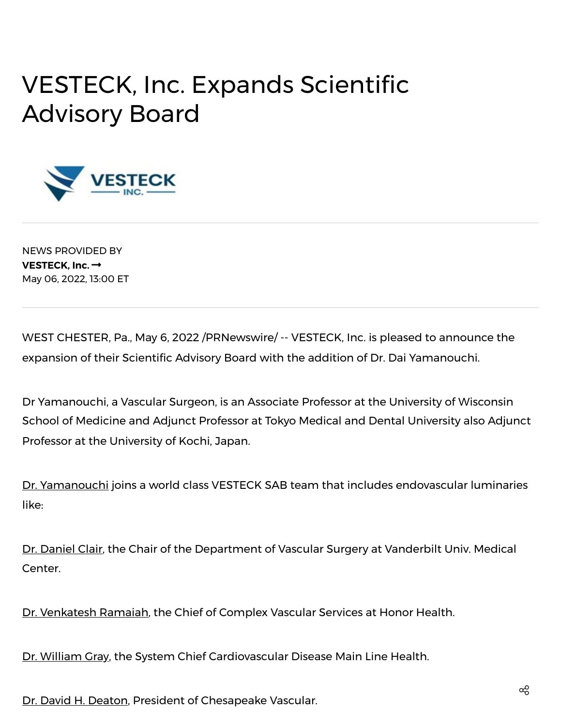## VESTECK, Inc. Expands Scientific Advisory Board



NEWS PROVIDED BY **[VESTECK, Inc.](https://www.prnewswire.com/news/vesteck%2C-inc./)** May 06, 2022, 13:00 ET

WEST CHESTER, Pa., May 6, 2022 /PRNewswire/ -- VESTECK, Inc. is pleased to announce the expansion of their Scientific Advisory Board with the addition of Dr. Dai Yamanouchi.

Dr Yamanouchi, a Vascular Surgeon, is an Associate Professor at the University of Wisconsin School of Medicine and Adjunct Professor at Tokyo Medical and Dental University also Adjunct Professor at the University of Kochi, Japan.

Dr. Yamanouchi joins a world class VESTECK SAB team that includes endovascular luminaries like:

Dr. Daniel Clair, the Chair of the Department of Vascular Surgery at Vanderbilt Univ. Medical Center.

Dr. Venkatesh Ramaiah, the Chief of Complex Vascular Services at Honor Health.

Dr. William Gray, the System Chief Cardiovascular Disease Main Line Health.

Dr. David H. Deaton, President of Chesapeake Vascular.